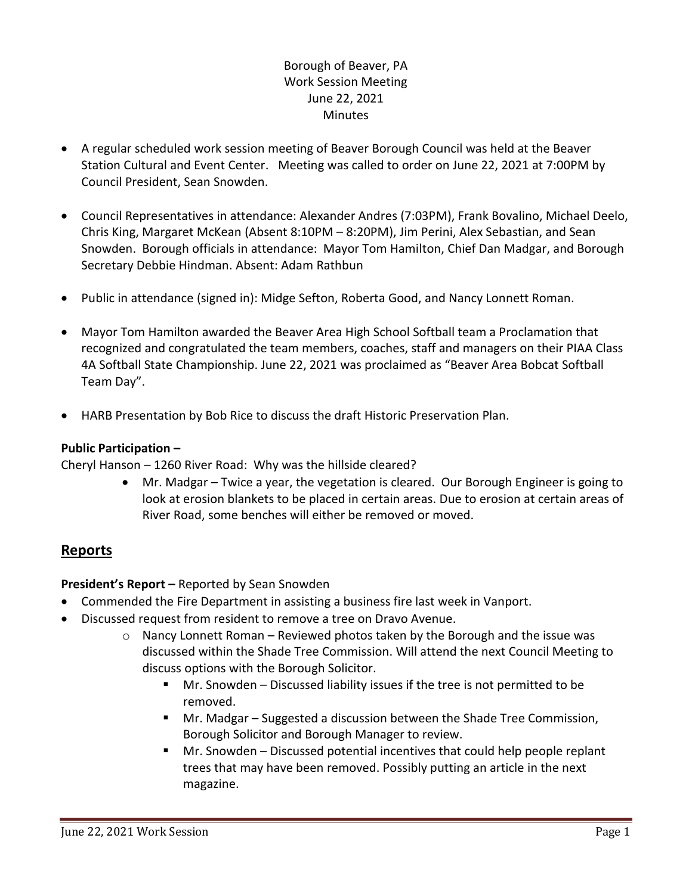## Borough of Beaver, PA Work Session Meeting June 22, 2021 **Minutes**

- A regular scheduled work session meeting of Beaver Borough Council was held at the Beaver Station Cultural and Event Center. Meeting was called to order on June 22, 2021 at 7:00PM by Council President, Sean Snowden.
- Council Representatives in attendance: Alexander Andres (7:03PM), Frank Bovalino, Michael Deelo, Chris King, Margaret McKean (Absent 8:10PM – 8:20PM), Jim Perini, Alex Sebastian, and Sean Snowden. Borough officials in attendance: Mayor Tom Hamilton, Chief Dan Madgar, and Borough Secretary Debbie Hindman. Absent: Adam Rathbun
- Public in attendance (signed in): Midge Sefton, Roberta Good, and Nancy Lonnett Roman.
- Mayor Tom Hamilton awarded the Beaver Area High School Softball team a Proclamation that recognized and congratulated the team members, coaches, staff and managers on their PIAA Class 4A Softball State Championship. June 22, 2021 was proclaimed as "Beaver Area Bobcat Softball Team Day".
- HARB Presentation by Bob Rice to discuss the draft Historic Preservation Plan.

### **Public Participation –**

Cheryl Hanson – 1260 River Road: Why was the hillside cleared?

 Mr. Madgar – Twice a year, the vegetation is cleared. Our Borough Engineer is going to look at erosion blankets to be placed in certain areas. Due to erosion at certain areas of River Road, some benches will either be removed or moved.

# **Reports**

**President's Report –** Reported by Sean Snowden

- Commended the Fire Department in assisting a business fire last week in Vanport.
- Discussed request from resident to remove a tree on Dravo Avenue.
	- $\circ$  Nancy Lonnett Roman Reviewed photos taken by the Borough and the issue was discussed within the Shade Tree Commission. Will attend the next Council Meeting to discuss options with the Borough Solicitor.
		- Mr. Snowden Discussed liability issues if the tree is not permitted to be removed.
		- Mr. Madgar Suggested a discussion between the Shade Tree Commission, Borough Solicitor and Borough Manager to review.
		- Mr. Snowden Discussed potential incentives that could help people replant trees that may have been removed. Possibly putting an article in the next magazine.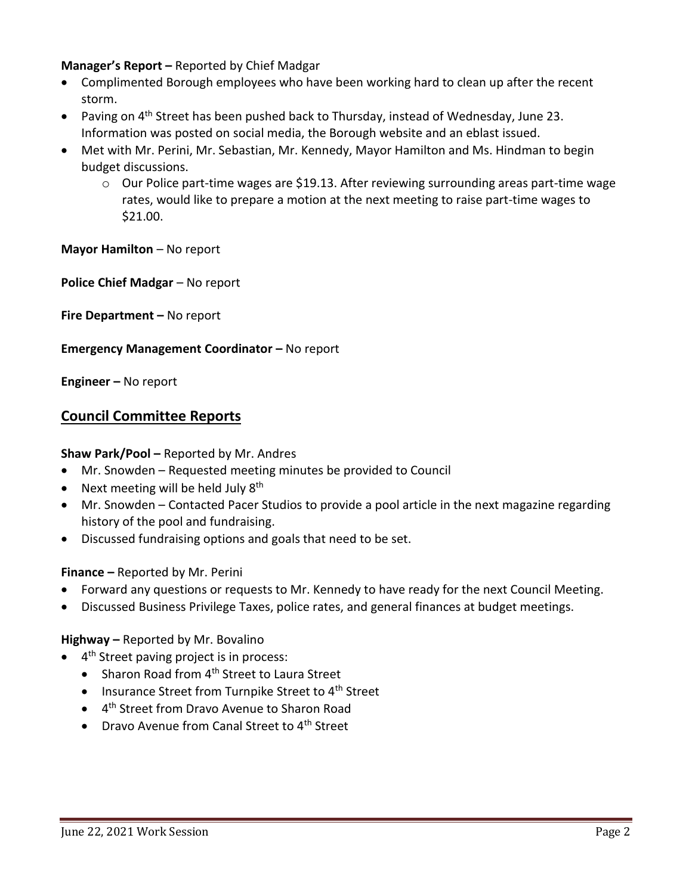### **Manager's Report –** Reported by Chief Madgar

- Complimented Borough employees who have been working hard to clean up after the recent storm.
- Paving on 4<sup>th</sup> Street has been pushed back to Thursday, instead of Wednesday, June 23. Information was posted on social media, the Borough website and an eblast issued.
- Met with Mr. Perini, Mr. Sebastian, Mr. Kennedy, Mayor Hamilton and Ms. Hindman to begin budget discussions.
	- $\circ$  Our Police part-time wages are \$19.13. After reviewing surrounding areas part-time wage rates, would like to prepare a motion at the next meeting to raise part-time wages to \$21.00.

**Mayor Hamilton** – No report

**Police Chief Madgar** – No report

**Fire Department –** No report

#### **Emergency Management Coordinator – No report**

**Engineer –** No report

### **Council Committee Reports**

#### **Shaw Park/Pool –** Reported by Mr. Andres

- Mr. Snowden Requested meeting minutes be provided to Council
- Next meeting will be held July  $8<sup>th</sup>$
- Mr. Snowden Contacted Pacer Studios to provide a pool article in the next magazine regarding history of the pool and fundraising.
- Discussed fundraising options and goals that need to be set.

#### **Finance –** Reported by Mr. Perini

- Forward any questions or requests to Mr. Kennedy to have ready for the next Council Meeting.
- Discussed Business Privilege Taxes, police rates, and general finances at budget meetings.

#### **Highway –** Reported by Mr. Bovalino

- 4<sup>th</sup> Street paving project is in process:
	- Sharon Road from 4<sup>th</sup> Street to Laura Street
	- $\bullet$  Insurance Street from Turnpike Street to 4<sup>th</sup> Street
	- 4<sup>th</sup> Street from Dravo Avenue to Sharon Road
	- Dravo Avenue from Canal Street to 4<sup>th</sup> Street